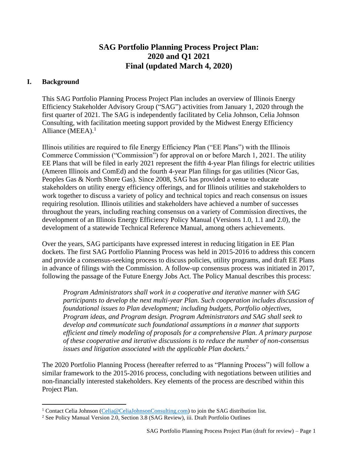# **SAG Portfolio Planning Process Project Plan: 2020 and Q1 2021 Final (updated March 4, 2020)**

### **I. Background**

This SAG Portfolio Planning Process Project Plan includes an overview of Illinois Energy Efficiency Stakeholder Advisory Group ("SAG") activities from January 1, 2020 through the first quarter of 2021. The SAG is independently facilitated by Celia Johnson, Celia Johnson Consulting, with facilitation meeting support provided by the Midwest Energy Efficiency Alliance (MEEA). $<sup>1</sup>$ </sup>

Illinois utilities are required to file Energy Efficiency Plan ("EE Plans") with the Illinois Commerce Commission ("Commission") for approval on or before March 1, 2021. The utility EE Plans that will be filed in early 2021 represent the fifth 4-year Plan filings for electric utilities (Ameren Illinois and ComEd) and the fourth 4-year Plan filings for gas utilities (Nicor Gas, Peoples Gas & North Shore Gas). Since 2008, SAG has provided a venue to educate stakeholders on utility energy efficiency offerings, and for Illinois utilities and stakeholders to work together to discuss a variety of policy and technical topics and reach consensus on issues requiring resolution. Illinois utilities and stakeholders have achieved a number of successes throughout the years, including reaching consensus on a variety of Commission directives, the development of an Illinois Energy Efficiency Policy Manual (Versions 1.0, 1.1 and 2.0), the development of a statewide Technical Reference Manual, among others achievements.

Over the years, SAG participants have expressed interest in reducing litigation in EE Plan dockets. The first SAG Portfolio Planning Process was held in 2015-2016 to address this concern and provide a consensus-seeking process to discuss policies, utility programs, and draft EE Plans in advance of filings with the Commission. A follow-up consensus process was initiated in 2017, following the passage of the Future Energy Jobs Act. The Policy Manual describes this process:

*Program Administrators shall work in a cooperative and iterative manner with SAG participants to develop the next multi-year Plan. Such cooperation includes discussion of foundational issues to Plan development; including budgets, Portfolio objectives, Program ideas, and Program design. Program Administrators and SAG shall seek to develop and communicate such foundational assumptions in a manner that supports efficient and timely modeling of proposals for a comprehensive Plan. A primary purpose of these cooperative and iterative discussions is to reduce the number of non-consensus issues and litigation associated with the applicable Plan dockets.<sup>2</sup>*

The 2020 Portfolio Planning Process (hereafter referred to as "Planning Process") will follow a similar framework to the 2015-2016 process, concluding with negotiations between utilities and non-financially interested stakeholders. Key elements of the process are described within this Project Plan.

<sup>&</sup>lt;sup>1</sup> Contact Celia Johnson [\(Celia@CeliaJohnsonConsulting.com\)](mailto:Celia@CeliaJohnsonConsulting.com) to join the SAG distribution list.

<sup>2</sup> See Policy Manual Version 2.0, Section 3.8 (SAG Review), iii. Draft Portfolio Outlines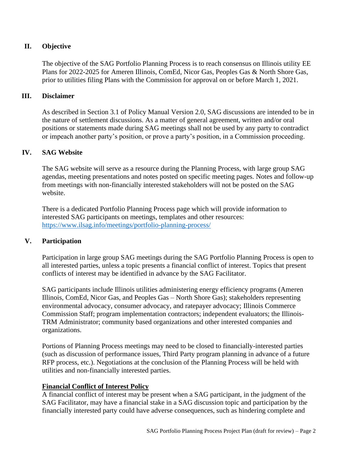### **II. Objective**

The objective of the SAG Portfolio Planning Process is to reach consensus on Illinois utility EE Plans for 2022-2025 for Ameren Illinois, ComEd, Nicor Gas, Peoples Gas & North Shore Gas, prior to utilities filing Plans with the Commission for approval on or before March 1, 2021.

#### **III. Disclaimer**

As described in Section 3.1 of Policy Manual Version 2.0, SAG discussions are intended to be in the nature of settlement discussions. As a matter of general agreement, written and/or oral positions or statements made during SAG meetings shall not be used by any party to contradict or impeach another party's position, or prove a party's position, in a Commission proceeding.

#### **IV. SAG Website**

The SAG website will serve as a resource during the Planning Process, with large group SAG agendas, meeting presentations and notes posted on specific meeting pages. Notes and follow-up from meetings with non-financially interested stakeholders will not be posted on the SAG website.

There is a dedicated Portfolio Planning Process page which will provide information to interested SAG participants on meetings, templates and other resources: <https://www.ilsag.info/meetings/portfolio-planning-process/>

## **V. Participation**

Participation in large group SAG meetings during the SAG Portfolio Planning Process is open to all interested parties, unless a topic presents a financial conflict of interest. Topics that present conflicts of interest may be identified in advance by the SAG Facilitator.

SAG participants include Illinois utilities administering energy efficiency programs (Ameren Illinois, ComEd, Nicor Gas, and Peoples Gas – North Shore Gas); stakeholders representing environmental advocacy, consumer advocacy, and ratepayer advocacy; Illinois Commerce Commission Staff; program implementation contractors; independent evaluators; the Illinois-TRM Administrator; community based organizations and other interested companies and organizations.

Portions of Planning Process meetings may need to be closed to financially-interested parties (such as discussion of performance issues, Third Party program planning in advance of a future RFP process, etc.). Negotiations at the conclusion of the Planning Process will be held with utilities and non-financially interested parties.

#### **Financial Conflict of Interest Policy**

A financial conflict of interest may be present when a SAG participant, in the judgment of the SAG Facilitator, may have a financial stake in a SAG discussion topic and participation by the financially interested party could have adverse consequences, such as hindering complete and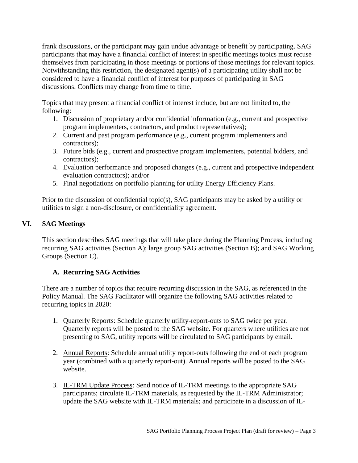frank discussions, or the participant may gain undue advantage or benefit by participating. SAG participants that may have a financial conflict of interest in specific meetings topics must recuse themselves from participating in those meetings or portions of those meetings for relevant topics. Notwithstanding this restriction, the designated agent(s) of a participating utility shall not be considered to have a financial conflict of interest for purposes of participating in SAG discussions. Conflicts may change from time to time.

Topics that may present a financial conflict of interest include, but are not limited to, the following:

- 1. Discussion of proprietary and/or confidential information (e.g., current and prospective program implementers, contractors, and product representatives);
- 2. Current and past program performance (e.g., current program implementers and contractors);
- 3. Future bids (e.g., current and prospective program implementers, potential bidders, and contractors);
- 4. Evaluation performance and proposed changes (e.g., current and prospective independent evaluation contractors); and/or
- 5. Final negotiations on portfolio planning for utility Energy Efficiency Plans.

Prior to the discussion of confidential topic(s), SAG participants may be asked by a utility or utilities to sign a non-disclosure, or confidentiality agreement.

## **VI. SAG Meetings**

This section describes SAG meetings that will take place during the Planning Process, including recurring SAG activities (Section A); large group SAG activities (Section B); and SAG Working Groups (Section C).

# **A. Recurring SAG Activities**

There are a number of topics that require recurring discussion in the SAG, as referenced in the Policy Manual. The SAG Facilitator will organize the following SAG activities related to recurring topics in 2020:

- 1. Quarterly Reports: Schedule quarterly utility-report-outs to SAG twice per year. Quarterly reports will be posted to the SAG website. For quarters where utilities are not presenting to SAG, utility reports will be circulated to SAG participants by email.
- 2. Annual Reports: Schedule annual utility report-outs following the end of each program year (combined with a quarterly report-out). Annual reports will be posted to the SAG website.
- 3. IL-TRM Update Process: Send notice of IL-TRM meetings to the appropriate SAG participants; circulate IL-TRM materials, as requested by the IL-TRM Administrator; update the SAG website with IL-TRM materials; and participate in a discussion of IL-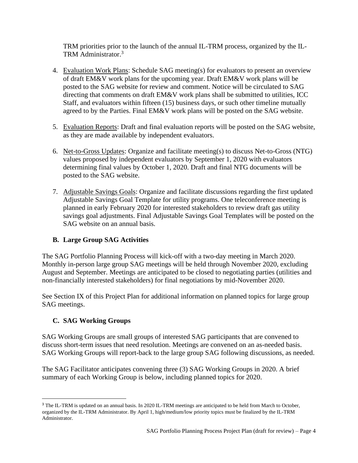TRM priorities prior to the launch of the annual IL-TRM process, organized by the IL-TRM Administrator.<sup>3</sup>

- 4. Evaluation Work Plans: Schedule SAG meeting(s) for evaluators to present an overview of draft EM&V work plans for the upcoming year. Draft EM&V work plans will be posted to the SAG website for review and comment. Notice will be circulated to SAG directing that comments on draft EM&V work plans shall be submitted to utilities, ICC Staff, and evaluators within fifteen (15) business days, or such other timeline mutually agreed to by the Parties. Final EM&V work plans will be posted on the SAG website.
- 5. Evaluation Reports: Draft and final evaluation reports will be posted on the SAG website, as they are made available by independent evaluators.
- 6. Net-to-Gross Updates: Organize and facilitate meeting(s) to discuss Net-to-Gross (NTG) values proposed by independent evaluators by September 1, 2020 with evaluators determining final values by October 1, 2020. Draft and final NTG documents will be posted to the SAG website.
- 7. Adjustable Savings Goals: Organize and facilitate discussions regarding the first updated Adjustable Savings Goal Template for utility programs. One teleconference meeting is planned in early February 2020 for interested stakeholders to review draft gas utility savings goal adjustments. Final Adjustable Savings Goal Templates will be posted on the SAG website on an annual basis.

## **B. Large Group SAG Activities**

The SAG Portfolio Planning Process will kick-off with a two-day meeting in March 2020. Monthly in-person large group SAG meetings will be held through November 2020, excluding August and September. Meetings are anticipated to be closed to negotiating parties (utilities and non-financially interested stakeholders) for final negotiations by mid-November 2020.

See Section IX of this Project Plan for additional information on planned topics for large group SAG meetings.

# **C. SAG Working Groups**

SAG Working Groups are small groups of interested SAG participants that are convened to discuss short-term issues that need resolution. Meetings are convened on an as-needed basis. SAG Working Groups will report-back to the large group SAG following discussions, as needed.

The SAG Facilitator anticipates convening three (3) SAG Working Groups in 2020. A brief summary of each Working Group is below, including planned topics for 2020.

<sup>&</sup>lt;sup>3</sup> The IL-TRM is updated on an annual basis. In 2020 IL-TRM meetings are anticipated to be held from March to October, organized by the IL-TRM Administrator. By April 1, high/medium/low priority topics must be finalized by the IL-TRM Administrator.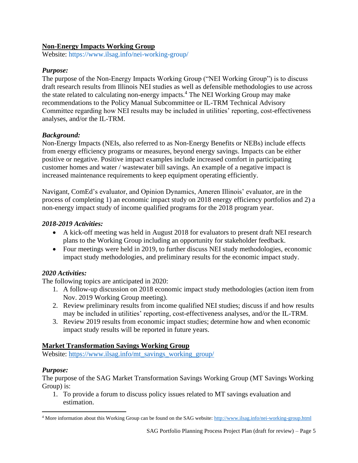## **Non-Energy Impacts Working Group**

Website:<https://www.ilsag.info/nei-working-group/>

## *Purpose:*

The purpose of the Non-Energy Impacts Working Group ("NEI Working Group") is to discuss draft research results from Illinois NEI studies as well as defensible methodologies to use across the state related to calculating non-energy impacts.<sup>4</sup> The NEI Working Group may make recommendations to the Policy Manual Subcommittee or IL-TRM Technical Advisory Committee regarding how NEI results may be included in utilities' reporting, cost-effectiveness analyses, and/or the IL-TRM.

## *Background:*

Non-Energy Impacts (NEIs, also referred to as Non-Energy Benefits or NEBs) include effects from energy efficiency programs or measures, beyond energy savings. Impacts can be either positive or negative. Positive impact examples include increased comfort in participating customer homes and water / wastewater bill savings. An example of a negative impact is increased maintenance requirements to keep equipment operating efficiently.

Navigant, ComEd's evaluator, and Opinion Dynamics, Ameren Illinois' evaluator, are in the process of completing 1) an economic impact study on 2018 energy efficiency portfolios and 2) a non-energy impact study of income qualified programs for the 2018 program year.

## *2018-2019 Activities:*

- A kick-off meeting was held in August 2018 for evaluators to present draft NEI research plans to the Working Group including an opportunity for stakeholder feedback.
- Four meetings were held in 2019, to further discuss NEI study methodologies, economic impact study methodologies, and preliminary results for the economic impact study.

## *2020 Activities:*

The following topics are anticipated in 2020:

- 1. A follow-up discussion on 2018 economic impact study methodologies (action item from Nov. 2019 Working Group meeting).
- 2. Review preliminary results from income qualified NEI studies; discuss if and how results may be included in utilities' reporting, cost-effectiveness analyses, and/or the IL-TRM.
- 3. Review 2019 results from economic impact studies; determine how and when economic impact study results will be reported in future years.

## **Market Transformation Savings Working Group**

Website: [https://www.ilsag.info/mt\\_savings\\_working\\_group/](https://www.ilsag.info/mt_savings_working_group/)

## *Purpose:*

The purpose of the SAG Market Transformation Savings Working Group (MT Savings Working Group) is:

1. To provide a forum to discuss policy issues related to MT savings evaluation and estimation.

<sup>&</sup>lt;sup>4</sup> More information about this Working Group can be found on the SAG website:<http://www.ilsag.info/nei-working-group.html>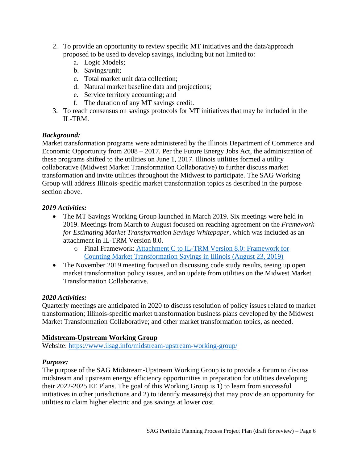- 2. To provide an opportunity to review specific MT initiatives and the data/approach proposed to be used to develop savings, including but not limited to:
	- a. Logic Models;
	- b. Savings/unit;
	- c. Total market unit data collection;
	- d. Natural market baseline data and projections;
	- e. Service territory accounting; and
	- f. The duration of any MT savings credit.
- 3. To reach consensus on savings protocols for MT initiatives that may be included in the IL-TRM.

## *Background:*

Market transformation programs were administered by the Illinois Department of Commerce and Economic Opportunity from 2008 – 2017. Per the Future Energy Jobs Act, the administration of these programs shifted to the utilities on June 1, 2017. Illinois utilities formed a utility collaborative (Midwest Market Transformation Collaborative) to further discuss market transformation and invite utilities throughout the Midwest to participate. The SAG Working Group will address Illinois-specific market transformation topics as described in the purpose section above.

#### *2019 Activities:*

- The MT Savings Working Group launched in March 2019. Six meetings were held in 2019. Meetings from March to August focused on reaching agreement on the *Framework for Estimating Market Transformation Savings Whitepaper*, which was included as an attachment in IL-TRM Version 8.0.
	- o Final Framework: [Attachment C to IL-TRM Version 8.0: Framework for](https://s3.amazonaws.com/ilsag/MT_Savings_Paper_Final_08-23-2019.pdf)  [Counting Market Transformation Savings in Illinois \(August 23, 2019\)](https://s3.amazonaws.com/ilsag/MT_Savings_Paper_Final_08-23-2019.pdf)
- The November 2019 meeting focused on discussing code study results, teeing up open market transformation policy issues, and an update from utilities on the Midwest Market Transformation Collaborative.

#### *2020 Activities:*

Quarterly meetings are anticipated in 2020 to discuss resolution of policy issues related to market transformation; Illinois-specific market transformation business plans developed by the Midwest Market Transformation Collaborative; and other market transformation topics, as needed.

## **Midstream-Upstream Working Group**

Website:<https://www.ilsag.info/midstream-upstream-working-group/>

## *Purpose:*

The purpose of the SAG Midstream-Upstream Working Group is to provide a forum to discuss midstream and upstream energy efficiency opportunities in preparation for utilities developing their 2022-2025 EE Plans. The goal of this Working Group is 1) to learn from successful initiatives in other jurisdictions and 2) to identify measure(s) that may provide an opportunity for utilities to claim higher electric and gas savings at lower cost.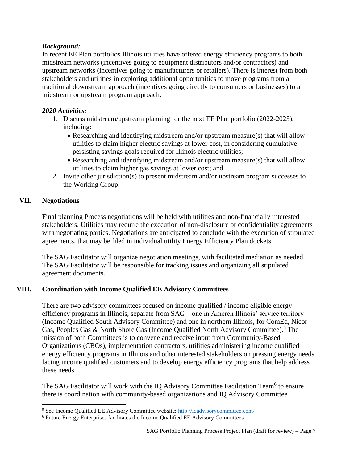## *Background:*

In recent EE Plan portfolios Illinois utilities have offered energy efficiency programs to both midstream networks (incentives going to equipment distributors and/or contractors) and upstream networks (incentives going to manufacturers or retailers). There is interest from both stakeholders and utilities in exploring additional opportunities to move programs from a traditional downstream approach (incentives going directly to consumers or businesses) to a midstream or upstream program approach.

#### *2020 Activities:*

- 1. Discuss midstream/upstream planning for the next EE Plan portfolio (2022-2025), including:
	- Researching and identifying midstream and/or upstream measure(s) that will allow utilities to claim higher electric savings at lower cost, in considering cumulative persisting savings goals required for Illinois electric utilities;
	- Researching and identifying midstream and/or upstream measure(s) that will allow utilities to claim higher gas savings at lower cost; and
- 2. Invite other jurisdiction(s) to present midstream and/or upstream program successes to the Working Group.

### **VII. Negotiations**

Final planning Process negotiations will be held with utilities and non-financially interested stakeholders. Utilities may require the execution of non-disclosure or confidentiality agreements with negotiating parties. Negotiations are anticipated to conclude with the execution of stipulated agreements, that may be filed in individual utility Energy Efficiency Plan dockets

The SAG Facilitator will organize negotiation meetings, with facilitated mediation as needed. The SAG Facilitator will be responsible for tracking issues and organizing all stipulated agreement documents.

## **VIII. Coordination with Income Qualified EE Advisory Committees**

There are two advisory committees focused on income qualified / income eligible energy efficiency programs in Illinois, separate from SAG – one in Ameren Illinois' service territory (Income Qualified South Advisory Committee) and one in northern Illinois, for ComEd, Nicor Gas, Peoples Gas & North Shore Gas (Income Qualified North Advisory Committee).<sup>5</sup> The mission of both Committees is to convene and receive input from Community-Based Organizations (CBOs), implementation contractors, utilities administering income qualified energy efficiency programs in Illinois and other interested stakeholders on pressing energy needs facing income qualified customers and to develop energy efficiency programs that help address these needs.

The SAG Facilitator will work with the IQ Advisory Committee Facilitation Team<sup>6</sup> to ensure there is coordination with community-based organizations and IQ Advisory Committee

<sup>&</sup>lt;sup>5</sup> See Income Qualified EE Advisory Committee website:<http://iqadvisorycommittee.com/>

<sup>6</sup> Future Energy Enterprises facilitates the Income Qualified EE Advisory Committees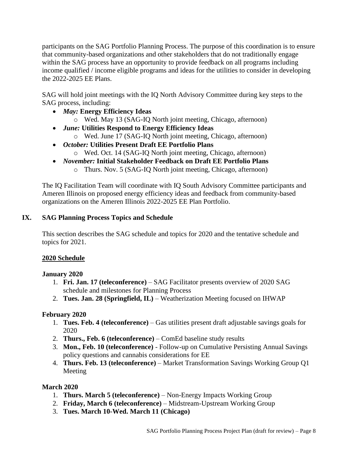participants on the SAG Portfolio Planning Process. The purpose of this coordination is to ensure that community-based organizations and other stakeholders that do not traditionally engage within the SAG process have an opportunity to provide feedback on all programs including income qualified / income eligible programs and ideas for the utilities to consider in developing the 2022-2025 EE Plans.

SAG will hold joint meetings with the IQ North Advisory Committee during key steps to the SAG process, including:

- *May:* **Energy Efficiency Ideas**
	- o Wed. May 13 (SAG-IQ North joint meeting, Chicago, afternoon)
- *June:* **Utilities Respond to Energy Efficiency Ideas**
	- o Wed. June 17 (SAG-IQ North joint meeting, Chicago, afternoon)
- *October:* **Utilities Present Draft EE Portfolio Plans** o Wed. Oct. 14 (SAG-IQ North joint meeting, Chicago, afternoon)
- *November:* **Initial Stakeholder Feedback on Draft EE Portfolio Plans**
	- o Thurs. Nov. 5 (SAG-IQ North joint meeting, Chicago, afternoon)

The IQ Facilitation Team will coordinate with IQ South Advisory Committee participants and Ameren Illinois on proposed energy efficiency ideas and feedback from community-based organizations on the Ameren Illinois 2022-2025 EE Plan Portfolio.

## **IX. SAG Planning Process Topics and Schedule**

This section describes the SAG schedule and topics for 2020 and the tentative schedule and topics for 2021.

## **2020 Schedule**

#### **January 2020**

- 1. **Fri. Jan. 17 (teleconference)** SAG Facilitator presents overview of 2020 SAG schedule and milestones for Planning Process
- 2. **Tues. Jan. 28 (Springfield, IL)** Weatherization Meeting focused on IHWAP

## **February 2020**

- 1. **Tues. Feb. 4 (teleconference)** Gas utilities present draft adjustable savings goals for 2020
- 2. **Thurs., Feb. 6 (teleconference)** ComEd baseline study results
- 3. **Mon., Feb. 10 (teleconference)** Follow-up on Cumulative Persisting Annual Savings policy questions and cannabis considerations for EE
- 4. **Thurs. Feb. 13 (teleconference)** Market Transformation Savings Working Group Q1 Meeting

#### **March 2020**

- 1. **Thurs. March 5 (teleconference)** Non-Energy Impacts Working Group
- 2. **Friday, March 6 (teleconference)** Midstream-Upstream Working Group
- 3. **Tues. March 10-Wed. March 11 (Chicago)**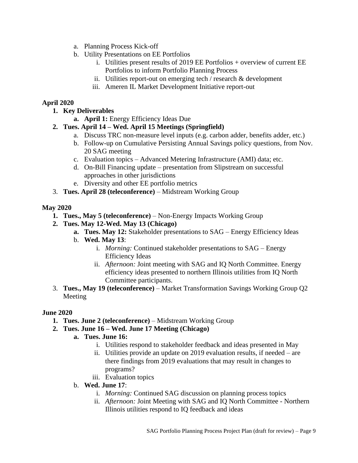- a. Planning Process Kick-off
- b. Utility Presentations on EE Portfolios
	- i. Utilities present results of 2019 EE Portfolios + overview of current EE Portfolios to inform Portfolio Planning Process
	- ii. Utilities report-out on emerging tech / research & development
	- iii. Ameren IL Market Development Initiative report-out

### **April 2020**

- **1. Key Deliverables**
	- **a. April 1:** Energy Efficiency Ideas Due

## **2. Tues. April 14 – Wed. April 15 Meetings (Springfield)**

- a. Discuss TRC non-measure level inputs (e.g. carbon adder, benefits adder, etc.)
- b. Follow-up on Cumulative Persisting Annual Savings policy questions, from Nov. 20 SAG meeting
- c. Evaluation topics Advanced Metering Infrastructure (AMI) data; etc.
- d. On-Bill Financing update presentation from Slipstream on successful approaches in other jurisdictions
- e. Diversity and other EE portfolio metrics
- 3. **Tues. April 28 (teleconference)** Midstream Working Group

#### **May 2020**

- **1. Tues., May 5 (teleconference)**  Non-Energy Impacts Working Group
- **2. Tues. May 12-Wed. May 13 (Chicago)**
	- **a. Tues. May 12:** Stakeholder presentations to SAG Energy Efficiency Ideas
	- b. **Wed. May 13**:
		- i. *Morning:* Continued stakeholder presentations to SAG Energy Efficiency Ideas
		- ii. *Afternoon:* Joint meeting with SAG and IQ North Committee. Energy efficiency ideas presented to northern Illinois utilities from IQ North Committee participants.
- 3. **Tues., May 19 (teleconference)** Market Transformation Savings Working Group Q2 Meeting

#### **June 2020**

- **1. Tues. June 2 (teleconference)**  Midstream Working Group
- **2. Tues. June 16 – Wed. June 17 Meeting (Chicago)**
	- **a. Tues. June 16:**
		- i. Utilities respond to stakeholder feedback and ideas presented in May
		- ii. Utilities provide an update on 2019 evaluation results, if needed are there findings from 2019 evaluations that may result in changes to programs?
		- iii. Evaluation topics
	- b. **Wed. June 17**:
		- i. *Morning:* Continued SAG discussion on planning process topics
		- ii. *Afternoon:* Joint Meeting with SAG and IQ North Committee Northern Illinois utilities respond to IQ feedback and ideas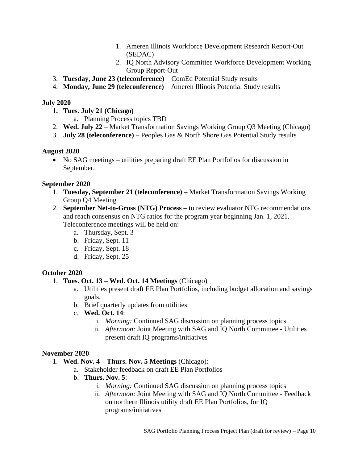- 1. Ameren Illinois Workforce Development Research Report-Out (SEDAC)
- 2. IQ North Advisory Committee Workforce Development Working Group Report-Out
- 3. **Tuesday, June 23 (teleconference)**  ComEd Potential Study results
- 4. **Monday, June 29 (teleconference)**  Ameren Illinois Potential Study results

## **July 2020**

- **1. Tues. July 21 (Chicago)**
	- a. Planning Process topics TBD
- 2. **Wed. July 22** Market Transformation Savings Working Group Q3 Meeting (Chicago)
- 3. **July 28 (teleconference)** Peoples Gas & North Shore Gas Potential Study results

## **August 2020**

• No SAG meetings – utilities preparing draft EE Plan Portfolios for discussion in September.

## **September 2020**

- 1. **Tuesday, September 21 (teleconference)** Market Transformation Savings Working Group Q4 Meeting
- 2. **September Net-to-Gross (NTG) Process** to review evaluator NTG recommendations and reach consensus on NTG ratios for the program year beginning Jan. 1, 2021. Teleconference meetings will be held on:
	- a. Thursday, Sept. 3
	- b. Friday, Sept. 11
	- c. Friday, Sept. 18
	- d. Friday, Sept. 25

## **October 2020**

- 1. **Tues. Oct. 13 – Wed. Oct. 14 Meetings** (Chicago)
	- a. Utilities present draft EE Plan Portfolios, including budget allocation and savings goals.
	- b. Brief quarterly updates from utilities
	- c. **Wed. Oct. 14**:
		- i. *Morning:* Continued SAG discussion on planning process topics
		- ii. *Afternoon:* Joint Meeting with SAG and IQ North Committee Utilities present draft IQ programs/initiatives

## **November 2020**

- 1. **Wed. Nov. 4 – Thurs. Nov. 5 Meetings** (Chicago):
	- a. Stakeholder feedback on draft EE Plan Portfolios
	- b. **Thurs. Nov. 5**:
		- i. *Morning:* Continued SAG discussion on planning process topics
		- ii. *Afternoon:* Joint Meeting with SAG and IQ North Committee Feedback on northern Illinois utility draft EE Plan Portfolios, for IQ programs/initiatives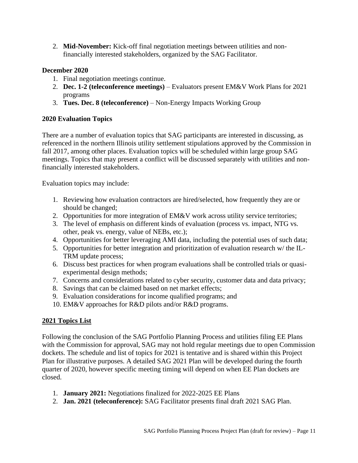2. **Mid-November:** Kick-off final negotiation meetings between utilities and nonfinancially interested stakeholders, organized by the SAG Facilitator.

### **December 2020**

- 1. Final negotiation meetings continue.
- 2. **Dec. 1-2 (teleconference meetings)** Evaluators present EM&V Work Plans for 2021 programs
- 3. **Tues. Dec. 8 (teleconference)** Non-Energy Impacts Working Group

## **2020 Evaluation Topics**

There are a number of evaluation topics that SAG participants are interested in discussing, as referenced in the northern Illinois utility settlement stipulations approved by the Commission in fall 2017, among other places. Evaluation topics will be scheduled within large group SAG meetings. Topics that may present a conflict will be discussed separately with utilities and nonfinancially interested stakeholders.

Evaluation topics may include:

- 1. Reviewing how evaluation contractors are hired/selected, how frequently they are or should be changed;
- 2. Opportunities for more integration of EM&V work across utility service territories;
- 3. The level of emphasis on different kinds of evaluation (process vs. impact, NTG vs. other, peak vs. energy, value of NEBs, etc.);
- 4. Opportunities for better leveraging AMI data, including the potential uses of such data;
- 5. Opportunities for better integration and prioritization of evaluation research w/ the IL-TRM update process;
- 6. Discuss best practices for when program evaluations shall be controlled trials or quasiexperimental design methods;
- 7. Concerns and considerations related to cyber security, customer data and data privacy;
- 8. Savings that can be claimed based on net market effects;
- 9. Evaluation considerations for income qualified programs; and
- 10. EM&V approaches for R&D pilots and/or R&D programs.

## **2021 Topics List**

Following the conclusion of the SAG Portfolio Planning Process and utilities filing EE Plans with the Commission for approval, SAG may not hold regular meetings due to open Commission dockets. The schedule and list of topics for 2021 is tentative and is shared within this Project Plan for illustrative purposes. A detailed SAG 2021 Plan will be developed during the fourth quarter of 2020, however specific meeting timing will depend on when EE Plan dockets are closed.

- 1. **January 2021:** Negotiations finalized for 2022-2025 EE Plans
- 2. **Jan. 2021 (teleconference):** SAG Facilitator presents final draft 2021 SAG Plan.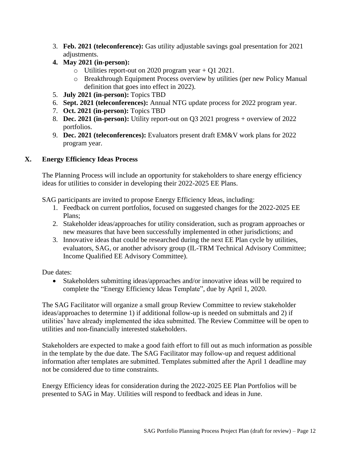- 3. **Feb. 2021 (teleconference):** Gas utility adjustable savings goal presentation for 2021 adjustments.
- **4. May 2021 (in-person):** 
	- $\circ$  Utilities report-out on 2020 program year + Q1 2021.
	- o Breakthrough Equipment Process overview by utilities (per new Policy Manual definition that goes into effect in 2022).
- 5. **July 2021 (in-person):** Topics TBD
- 6. **Sept. 2021 (teleconferences):** Annual NTG update process for 2022 program year.
- 7. **Oct. 2021 (in-person):** Topics TBD
- 8. **Dec. 2021 (in-person):** Utility report-out on Q3 2021 progress + overview of 2022 portfolios.
- 9. **Dec. 2021 (teleconferences):** Evaluators present draft EM&V work plans for 2022 program year.

## **X. Energy Efficiency Ideas Process**

The Planning Process will include an opportunity for stakeholders to share energy efficiency ideas for utilities to consider in developing their 2022-2025 EE Plans.

SAG participants are invited to propose Energy Efficiency Ideas, including:

- 1. Feedback on current portfolios, focused on suggested changes for the 2022-2025 EE Plans;
- 2. Stakeholder ideas/approaches for utility consideration, such as program approaches or new measures that have been successfully implemented in other jurisdictions; and
- 3. Innovative ideas that could be researched during the next EE Plan cycle by utilities, evaluators, SAG, or another advisory group (IL-TRM Technical Advisory Committee; Income Qualified EE Advisory Committee).

Due dates:

• Stakeholders submitting ideas/approaches and/or innovative ideas will be required to complete the "Energy Efficiency Ideas Template", due by April 1, 2020.

The SAG Facilitator will organize a small group Review Committee to review stakeholder ideas/approaches to determine 1) if additional follow-up is needed on submittals and 2) if utilities' have already implemented the idea submitted. The Review Committee will be open to utilities and non-financially interested stakeholders.

Stakeholders are expected to make a good faith effort to fill out as much information as possible in the template by the due date. The SAG Facilitator may follow-up and request additional information after templates are submitted. Templates submitted after the April 1 deadline may not be considered due to time constraints.

Energy Efficiency ideas for consideration during the 2022-2025 EE Plan Portfolios will be presented to SAG in May. Utilities will respond to feedback and ideas in June.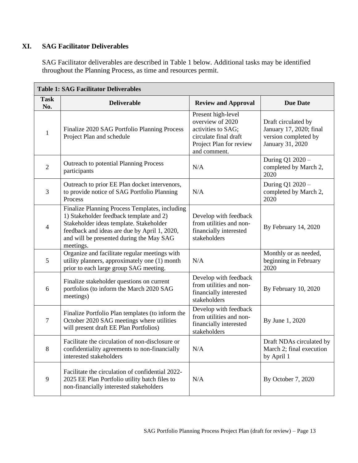# **XI. SAG Facilitator Deliverables**

SAG Facilitator deliverables are described in Table 1 below. Additional tasks may be identified throughout the Planning Process, as time and resources permit.

| <b>Table 1: SAG Facilitator Deliverables</b> |                                                                                                                                                                                                                                               |                                                                                                                                  |                                                                                            |  |  |
|----------------------------------------------|-----------------------------------------------------------------------------------------------------------------------------------------------------------------------------------------------------------------------------------------------|----------------------------------------------------------------------------------------------------------------------------------|--------------------------------------------------------------------------------------------|--|--|
| <b>Task</b><br>No.                           | <b>Deliverable</b>                                                                                                                                                                                                                            | <b>Review and Approval</b>                                                                                                       | <b>Due Date</b>                                                                            |  |  |
| $\mathbf{1}$                                 | Finalize 2020 SAG Portfolio Planning Process<br>Project Plan and schedule                                                                                                                                                                     | Present high-level<br>overview of 2020<br>activities to SAG;<br>circulate final draft<br>Project Plan for review<br>and comment. | Draft circulated by<br>January 17, 2020; final<br>version completed by<br>January 31, 2020 |  |  |
| $\overline{2}$                               | Outreach to potential Planning Process<br>participants                                                                                                                                                                                        | N/A                                                                                                                              | During Q1 2020 -<br>completed by March 2,<br>2020                                          |  |  |
| $\overline{3}$                               | Outreach to prior EE Plan docket intervenors,<br>to provide notice of SAG Portfolio Planning<br>Process                                                                                                                                       | N/A                                                                                                                              | During Q1 2020 -<br>completed by March 2,<br>2020                                          |  |  |
| $\overline{4}$                               | Finalize Planning Process Templates, including<br>1) Stakeholder feedback template and 2)<br>Stakeholder ideas template. Stakeholder<br>feedback and ideas are due by April 1, 2020,<br>and will be presented during the May SAG<br>meetings. | Develop with feedback<br>from utilities and non-<br>financially interested<br>stakeholders                                       | By February 14, 2020                                                                       |  |  |
| 5                                            | Organize and facilitate regular meetings with<br>utility planners, approximately one (1) month<br>prior to each large group SAG meeting.                                                                                                      | N/A                                                                                                                              | Monthly or as needed,<br>beginning in February<br>2020                                     |  |  |
| 6                                            | Finalize stakeholder questions on current<br>portfolios (to inform the March 2020 SAG<br>meetings)                                                                                                                                            | Develop with feedback<br>from utilities and non-<br>financially interested<br>stakeholders                                       | By February 10, 2020                                                                       |  |  |
| $\boldsymbol{7}$                             | Finalize Portfolio Plan templates (to inform the<br>October 2020 SAG meetings where utilities<br>will present draft EE Plan Portfolios)                                                                                                       | Develop with feedback<br>from utilities and non-<br>financially interested<br>stakeholders                                       | By June 1, 2020                                                                            |  |  |
| 8                                            | Facilitate the circulation of non-disclosure or<br>confidentiality agreements to non-financially<br>interested stakeholders                                                                                                                   | N/A                                                                                                                              | Draft NDAs circulated by<br>March 2; final execution<br>by April 1                         |  |  |
| $\overline{9}$                               | Facilitate the circulation of confidential 2022-<br>2025 EE Plan Portfolio utility batch files to<br>non-financially interested stakeholders                                                                                                  | N/A                                                                                                                              | By October 7, 2020                                                                         |  |  |